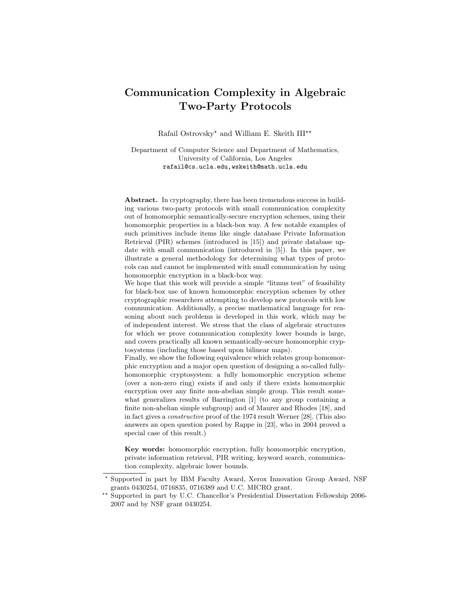# Communication Complexity in Algebraic Two-Party Protocols

Rafail Ostrovsky<sup>\*</sup> and William E. Skeith III<sup>\*\*</sup>

Department of Computer Science and Department of Mathematics, University of California, Los Angeles rafail@cs.ucla.edu,wskeith@math.ucla.edu

Abstract. In cryptography, there has been tremendous success in building various two-party protocols with small communication complexity out of homomorphic semantically-secure encryption schemes, using their homomorphic properties in a black-box way. A few notable examples of such primitives include items like single database Private Information Retrieval (PIR) schemes (introduced in [15]) and private database update with small communication (introduced in [5]). In this paper, we illustrate a general methodology for determining what types of protocols can and cannot be implemented with small communication by using homomorphic encryption in a black-box way.

We hope that this work will provide a simple "litmus test" of feasibility for black-box use of known homomorphic encryption schemes by other cryptographic researchers attempting to develop new protocols with low communication. Additionally, a precise mathematical language for reasoning about such problems is developed in this work, which may be of independent interest. We stress that the class of algebraic structures for which we prove communication complexity lower bounds is large, and covers practically all known semantically-secure homomorphic cryptosystems (including those based upon bilinear maps).

Finally, we show the following equivalence which relates group homomorphic encryption and a major open question of designing a so-called fullyhomomorphic cryptosystem: a fully homomorphic encryption scheme (over a non-zero ring) exists if and only if there exists homomorphic encryption over any finite non-abelian simple group. This result somewhat generalizes results of Barrington [1] (to any group containing a finite non-abelian simple subgroup) and of Maurer and Rhodes [18], and in fact gives a constructive proof of the 1974 result Werner [28]. (This also answers an open question posed by Rappe in [23], who in 2004 proved a special case of this result.)

Key words: homomorphic encryption, fully homomorphic encryption, private information retrieval, PIR writing, keyword search, communication complexity, algebraic lower bounds.

<sup>?</sup> Supported in part by IBM Faculty Award, Xerox Innovation Group Award, NSF grants 0430254, 0716835, 0716389 and U.C. MICRO grant.

<sup>??</sup> Supported in part by U.C. Chancellor's Presidential Dissertation Fellowship 2006- 2007 and by NSF grant 0430254.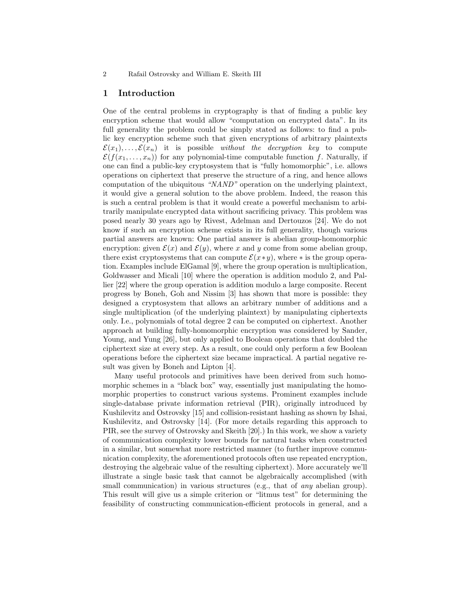# 1 Introduction

One of the central problems in cryptography is that of finding a public key encryption scheme that would allow "computation on encrypted data". In its full generality the problem could be simply stated as follows: to find a public key encryption scheme such that given encryptions of arbitrary plaintexts  $\mathcal{E}(x_1), \ldots, \mathcal{E}(x_n)$  it is possible without the decryption key to compute  $\mathcal{E}(f(x_1, \ldots, x_n))$  for any polynomial-time computable function f. Naturally, if one can find a public-key cryptosystem that is "fully homomorphic", i.e. allows operations on ciphertext that preserve the structure of a ring, and hence allows computation of the ubiquitous "NAND" operation on the underlying plaintext, it would give a general solution to the above problem. Indeed, the reason this is such a central problem is that it would create a powerful mechanism to arbitrarily manipulate encrypted data without sacrificing privacy. This problem was posed nearly 30 years ago by Rivest, Adelman and Dertouzos [24]. We do not know if such an encryption scheme exists in its full generality, though various partial answers are known: One partial answer is abelian group-homomorphic encryption: given  $\mathcal{E}(x)$  and  $\mathcal{E}(y)$ , where x and y come from some abelian group, there exist cryptosystems that can compute  $\mathcal{E}(x*y)$ , where  $*$  is the group operation. Examples include ElGamal [9], where the group operation is multiplication, Goldwasser and Micali [10] where the operation is addition modulo 2, and Pallier [22] where the group operation is addition modulo a large composite. Recent progress by Boneh, Goh and Nissim [3] has shown that more is possible: they designed a cryptosystem that allows an arbitrary number of additions and a single multiplication (of the underlying plaintext) by manipulating ciphertexts only. I.e., polynomials of total degree 2 can be computed on ciphertext. Another approach at building fully-homomorphic encryption was considered by Sander, Young, and Yung [26], but only applied to Boolean operations that doubled the ciphertext size at every step. As a result, one could only perform a few Boolean operations before the ciphertext size became impractical. A partial negative result was given by Boneh and Lipton [4].

Many useful protocols and primitives have been derived from such homomorphic schemes in a "black box" way, essentially just manipulating the homomorphic properties to construct various systems. Prominent examples include single-database private information retrieval (PIR), originally introduced by Kushilevitz and Ostrovsky [15] and collision-resistant hashing as shown by Ishai, Kushilevitz, and Ostrovsky [14]. (For more details regarding this approach to PIR, see the survey of Ostrovsky and Skeith [20].) In this work, we show a variety of communication complexity lower bounds for natural tasks when constructed in a similar, but somewhat more restricted manner (to further improve communication complexity, the aforementioned protocols often use repeated encryption, destroying the algebraic value of the resulting ciphertext). More accurately we'll illustrate a single basic task that cannot be algebraically accomplished (with small communication) in various structures (e.g., that of *any* abelian group). This result will give us a simple criterion or "litmus test" for determining the feasibility of constructing communication-efficient protocols in general, and a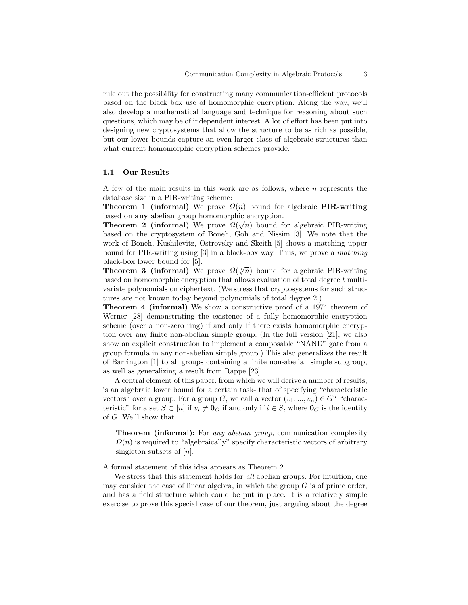rule out the possibility for constructing many communication-efficient protocols based on the black box use of homomorphic encryption. Along the way, we'll also develop a mathematical language and technique for reasoning about such questions, which may be of independent interest. A lot of effort has been put into designing new cryptosystems that allow the structure to be as rich as possible, but our lower bounds capture an even larger class of algebraic structures than what current homomorphic encryption schemes provide.

# 1.1 Our Results

A few of the main results in this work are as follows, where  $n$  represents the database size in a PIR-writing scheme:

**Theorem 1 (informal)** We prove  $\Omega(n)$  bound for algebraic **PIR-writing** based on **any** abelian group homomorphic encryption.

**Theorem 2 (informal)** We prove  $\Omega(\sqrt{n})$  bound for algebraic PIR-writing based on the cryptosystem of Boneh, Goh and Nissim [3]. We note that the work of Boneh, Kushilevitz, Ostrovsky and Skeith [5] shows a matching upper bound for PIR-writing using [3] in a black-box way. Thus, we prove a matching black-box lower bound for [5].

Diack-box lower bound for [5].<br>**Theorem 3 (informal)** We prove  $\Omega(\sqrt[t]{n})$  bound for algebraic PIR-writing based on homomorphic encryption that allows evaluation of total degree  $t$  multivariate polynomials on ciphertext. (We stress that cryptosystems for such structures are not known today beyond polynomials of total degree 2.)

Theorem 4 (informal) We show a constructive proof of a 1974 theorem of Werner [28] demonstrating the existence of a fully homomorphic encryption scheme (over a non-zero ring) if and only if there exists homomorphic encryption over any finite non-abelian simple group. (In the full version [21], we also show an explicit construction to implement a composable "NAND" gate from a group formula in any non-abelian simple group.) This also generalizes the result of Barrington [1] to all groups containing a finite non-abelian simple subgroup, as well as generalizing a result from Rappe [23].

A central element of this paper, from which we will derive a number of results, is an algebraic lower bound for a certain task- that of specifying "characteristic vectors" over a group. For a group G, we call a vector  $(v_1, ..., v_n) \in G^n$  "characteristic" for a set  $S \subset [n]$  if  $v_i \neq \mathbf{0}_G$  if and only if  $i \in S$ , where  $\mathbf{0}_G$  is the identity of G. We'll show that

Theorem (informal): For any abelian group, communication complexity  $\Omega(n)$  is required to "algebraically" specify characteristic vectors of arbitrary singleton subsets of  $[n]$ .

A formal statement of this idea appears as Theorem 2.

We stress that this statement holds for all abelian groups. For intuition, one may consider the case of linear algebra, in which the group  $G$  is of prime order, and has a field structure which could be put in place. It is a relatively simple exercise to prove this special case of our theorem, just arguing about the degree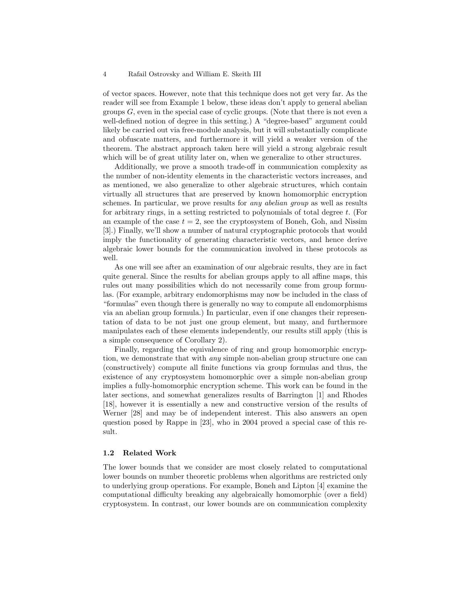of vector spaces. However, note that this technique does not get very far. As the reader will see from Example 1 below, these ideas don't apply to general abelian groups  $G$ , even in the special case of cyclic groups. (Note that there is not even a well-defined notion of degree in this setting.) A "degree-based" argument could likely be carried out via free-module analysis, but it will substantially complicate and obfuscate matters, and furthermore it will yield a weaker version of the theorem. The abstract approach taken here will yield a strong algebraic result which will be of great utility later on, when we generalize to other structures.

Additionally, we prove a smooth trade-off in communication complexity as the number of non-identity elements in the characteristic vectors increases, and as mentioned, we also generalize to other algebraic structures, which contain virtually all structures that are preserved by known homomorphic encryption schemes. In particular, we prove results for *any abelian group* as well as results for arbitrary rings, in a setting restricted to polynomials of total degree  $t$ . (For an example of the case  $t = 2$ , see the cryptosystem of Boneh, Goh, and Nissim [3].) Finally, we'll show a number of natural cryptographic protocols that would imply the functionality of generating characteristic vectors, and hence derive algebraic lower bounds for the communication involved in these protocols as well.

As one will see after an examination of our algebraic results, they are in fact quite general. Since the results for abelian groups apply to all affine maps, this rules out many possibilities which do not necessarily come from group formulas. (For example, arbitrary endomorphisms may now be included in the class of "formulas" even though there is generally no way to compute all endomorphisms via an abelian group formula.) In particular, even if one changes their representation of data to be not just one group element, but many, and furthermore manipulates each of these elements independently, our results still apply (this is a simple consequence of Corollary 2).

Finally, regarding the equivalence of ring and group homomorphic encryption, we demonstrate that with any simple non-abelian group structure one can (constructively) compute all finite functions via group formulas and thus, the existence of any cryptosystem homomorphic over a simple non-abelian group implies a fully-homomorphic encryption scheme. This work can be found in the later sections, and somewhat generalizes results of Barrington [1] and Rhodes [18], however it is essentially a new and constructive version of the results of Werner [28] and may be of independent interest. This also answers an open question posed by Rappe in [23], who in 2004 proved a special case of this result.

## 1.2 Related Work

The lower bounds that we consider are most closely related to computational lower bounds on number theoretic problems when algorithms are restricted only to underlying group operations. For example, Boneh and Lipton [4] examine the computational difficulty breaking any algebraically homomorphic (over a field) cryptosystem. In contrast, our lower bounds are on communication complexity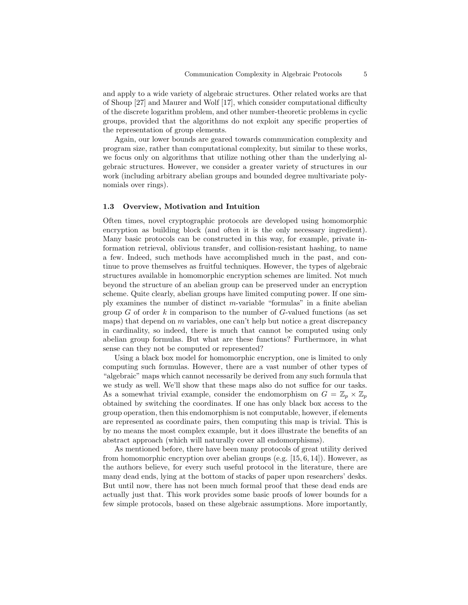and apply to a wide variety of algebraic structures. Other related works are that of Shoup [27] and Maurer and Wolf [17], which consider computational difficulty of the discrete logarithm problem, and other number-theoretic problems in cyclic groups, provided that the algorithms do not exploit any specific properties of the representation of group elements.

Again, our lower bounds are geared towards communication complexity and program size, rather than computational complexity, but similar to these works, we focus only on algorithms that utilize nothing other than the underlying algebraic structures. However, we consider a greater variety of structures in our work (including arbitrary abelian groups and bounded degree multivariate polynomials over rings).

## 1.3 Overview, Motivation and Intuition

Often times, novel cryptographic protocols are developed using homomorphic encryption as building block (and often it is the only necessary ingredient). Many basic protocols can be constructed in this way, for example, private information retrieval, oblivious transfer, and collision-resistant hashing, to name a few. Indeed, such methods have accomplished much in the past, and continue to prove themselves as fruitful techniques. However, the types of algebraic structures available in homomorphic encryption schemes are limited. Not much beyond the structure of an abelian group can be preserved under an encryption scheme. Quite clearly, abelian groups have limited computing power. If one simply examines the number of distinct  $m$ -variable "formulas" in a finite abelian group  $G$  of order k in comparison to the number of  $G$ -valued functions (as set maps) that depend on  $m$  variables, one can't help but notice a great discrepancy in cardinality, so indeed, there is much that cannot be computed using only abelian group formulas. But what are these functions? Furthermore, in what sense can they not be computed or represented?

Using a black box model for homomorphic encryption, one is limited to only computing such formulas. However, there are a vast number of other types of "algebraic" maps which cannot necessarily be derived from any such formula that we study as well. We'll show that these maps also do not suffice for our tasks. As a somewhat trivial example, consider the endomorphism on  $G = \mathbb{Z}_p \times \mathbb{Z}_p$ obtained by switching the coordinates. If one has only black box access to the group operation, then this endomorphism is not computable, however, if elements are represented as coordinate pairs, then computing this map is trivial. This is by no means the most complex example, but it does illustrate the benefits of an abstract approach (which will naturally cover all endomorphisms).

As mentioned before, there have been many protocols of great utility derived from homomorphic encryption over abelian groups (e.g. [15, 6, 14]). However, as the authors believe, for every such useful protocol in the literature, there are many dead ends, lying at the bottom of stacks of paper upon researchers' desks. But until now, there has not been much formal proof that these dead ends are actually just that. This work provides some basic proofs of lower bounds for a few simple protocols, based on these algebraic assumptions. More importantly,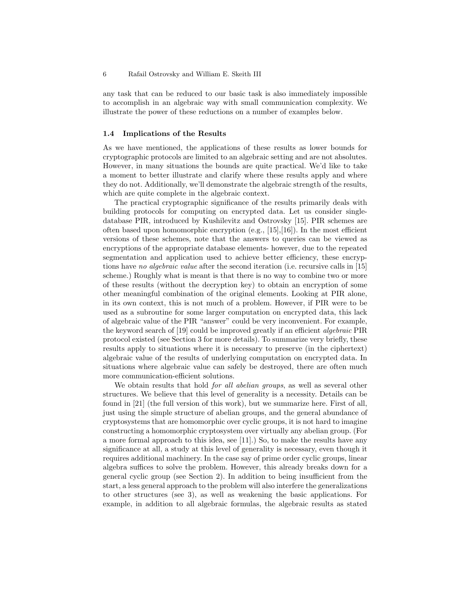any task that can be reduced to our basic task is also immediately impossible to accomplish in an algebraic way with small communication complexity. We illustrate the power of these reductions on a number of examples below.

## 1.4 Implications of the Results

As we have mentioned, the applications of these results as lower bounds for cryptographic protocols are limited to an algebraic setting and are not absolutes. However, in many situations the bounds are quite practical. We'd like to take a moment to better illustrate and clarify where these results apply and where they do not. Additionally, we'll demonstrate the algebraic strength of the results, which are quite complete in the algebraic context.

The practical cryptographic significance of the results primarily deals with building protocols for computing on encrypted data. Let us consider singledatabase PIR, introduced by Kushilevitz and Ostrovsky [15]. PIR schemes are often based upon homomorphic encryption (e.g., [15],[16]). In the most efficient versions of these schemes, note that the answers to queries can be viewed as encryptions of the appropriate database elements- however, due to the repeated segmentation and application used to achieve better efficiency, these encryptions have no algebraic value after the second iteration (i.e. recursive calls in [15] scheme.) Roughly what is meant is that there is no way to combine two or more of these results (without the decryption key) to obtain an encryption of some other meaningful combination of the original elements. Looking at PIR alone, in its own context, this is not much of a problem. However, if PIR were to be used as a subroutine for some larger computation on encrypted data, this lack of algebraic value of the PIR "answer" could be very inconvenient. For example, the keyword search of [19] could be improved greatly if an efficient algebraic PIR protocol existed (see Section 3 for more details). To summarize very briefly, these results apply to situations where it is necessary to preserve (in the ciphertext) algebraic value of the results of underlying computation on encrypted data. In situations where algebraic value can safely be destroyed, there are often much more communication-efficient solutions.

We obtain results that hold *for all abelian groups*, as well as several other structures. We believe that this level of generality is a necessity. Details can be found in [21] (the full version of this work), but we summarize here. First of all, just using the simple structure of abelian groups, and the general abundance of cryptosystems that are homomorphic over cyclic groups, it is not hard to imagine constructing a homomorphic cryptosystem over virtually any abelian group. (For a more formal approach to this idea, see [11].) So, to make the results have any significance at all, a study at this level of generality is necessary, even though it requires additional machinery. In the case say of prime order cyclic groups, linear algebra suffices to solve the problem. However, this already breaks down for a general cyclic group (see Section 2). In addition to being insufficient from the start, a less general approach to the problem will also interfere the generalizations to other structures (see 3), as well as weakening the basic applications. For example, in addition to all algebraic formulas, the algebraic results as stated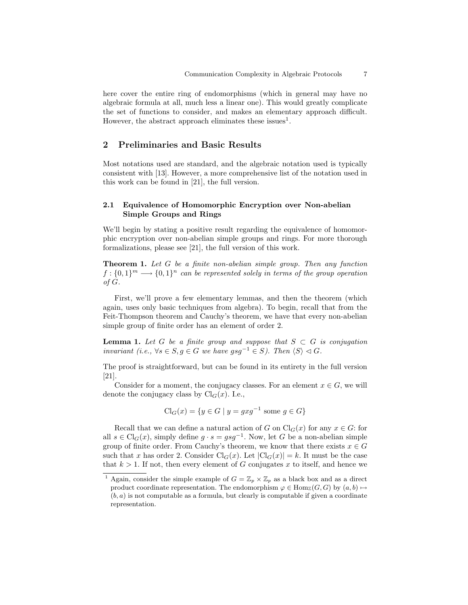here cover the entire ring of endomorphisms (which in general may have no algebraic formula at all, much less a linear one). This would greatly complicate the set of functions to consider, and makes an elementary approach difficult. However, the abstract approach eliminates these issues<sup>1</sup>.

# 2 Preliminaries and Basic Results

Most notations used are standard, and the algebraic notation used is typically consistent with [13]. However, a more comprehensive list of the notation used in this work can be found in [21], the full version.

# 2.1 Equivalence of Homomorphic Encryption over Non-abelian Simple Groups and Rings

We'll begin by stating a positive result regarding the equivalence of homomorphic encryption over non-abelian simple groups and rings. For more thorough formalizations, please see [21], the full version of this work.

Theorem 1. Let G be a finite non-abelian simple group. Then any function  $f: \{0,1\}^m \longrightarrow \{0,1\}^n$  can be represented solely in terms of the group operation of G.

First, we'll prove a few elementary lemmas, and then the theorem (which again, uses only basic techniques from algebra). To begin, recall that from the Feit-Thompson theorem and Cauchy's theorem, we have that every non-abelian simple group of finite order has an element of order 2.

**Lemma 1.** Let G be a finite group and suppose that  $S \subset G$  is conjugation invariant (i.e.,  $\forall s \in S, g \in G$  we have  $gsg^{-1} \in S$ ). Then  $\langle S \rangle \triangleleft G$ .

The proof is straightforward, but can be found in its entirety in the full version [21].

Consider for a moment, the conjugacy classes. For an element  $x \in G$ , we will denote the conjugacy class by  $Cl_G(x)$ . I.e.,

$$
\mathrm{Cl}_G(x) = \{ y \in G \mid y = gxg^{-1} \text{ some } g \in G \}
$$

Recall that we can define a natural action of G on  $\text{Cl}_G(x)$  for any  $x \in G$ : for all  $s \in \mathrm{Cl}_G(x)$ , simply define  $g \cdot s = gsg^{-1}$ . Now, let G be a non-abelian simple group of finite order. From Cauchy's theorem, we know that there exists  $x \in G$ such that x has order 2. Consider  $Cl_G(x)$ . Let  $|Cl_G(x)| = k$ . It must be the case that  $k > 1$ . If not, then every element of G conjugates x to itself, and hence we

<sup>&</sup>lt;sup>1</sup> Again, consider the simple example of  $G = \mathbb{Z}_p \times \mathbb{Z}_p$  as a black box and as a direct product coordinate representation. The endomorphism  $\varphi \in \text{Hom}_{\mathbb{Z}}(G, G)$  by  $(a, b) \mapsto$  $(b, a)$  is not computable as a formula, but clearly is computable if given a coordinate representation.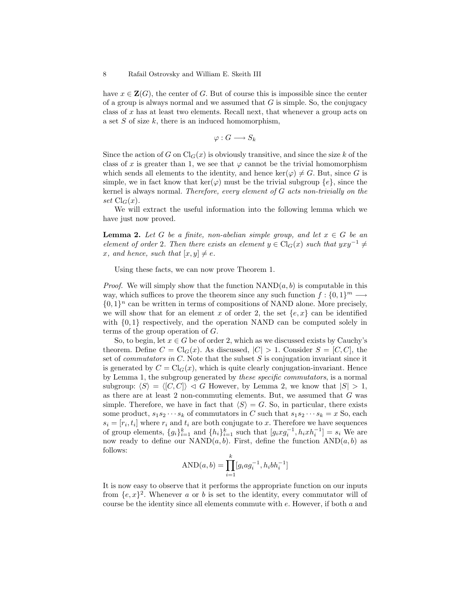have  $x \in \mathbf{Z}(G)$ , the center of G. But of course this is impossible since the center of a group is always normal and we assumed that  $G$  is simple. So, the conjugacy class of  $x$  has at least two elements. Recall next, that whenever a group acts on a set  $S$  of size  $k$ , there is an induced homomorphism,

$$
\varphi: G \longrightarrow S_k
$$

Since the action of G on  $Cl_G(x)$  is obviously transitive, and since the size k of the class of x is greater than 1, we see that  $\varphi$  cannot be the trivial homomorphism which sends all elements to the identity, and hence ker( $\varphi$ )  $\neq G$ . But, since G is simple, we in fact know that  $\ker(\varphi)$  must be the trivial subgroup  $\{e\}$ , since the kernel is always normal. Therefore, every element of G acts non-trivially on the set  $\text{Cl}_G(x)$ .

We will extract the useful information into the following lemma which we have just now proved.

**Lemma 2.** Let G be a finite, non-abelian simple group, and let  $x \in G$  be an element of order 2. Then there exists an element  $y \in Cl_G(x)$  such that  $yxy^{-1} \neq$ x, and hence, such that  $[x, y] \neq e$ .

Using these facts, we can now prove Theorem 1.

*Proof.* We will simply show that the function  $NAND(a, b)$  is computable in this way, which suffices to prove the theorem since any such function  $f: \{0,1\}^m \longrightarrow$  $\{0,1\}^n$  can be written in terms of compositions of NAND alone. More precisely, we will show that for an element x of order 2, the set  $\{e, x\}$  can be identified with  $\{0, 1\}$  respectively, and the operation NAND can be computed solely in terms of the group operation of G.

So, to begin, let  $x \in G$  be of order 2, which as we discussed exists by Cauchy's theorem. Define  $C = \text{Cl}_G(x)$ . As discussed,  $|C| > 1$ . Consider  $S = [C, C]$ , the set of *commutators in C*. Note that the subset  $S$  is conjugation invariant since it is generated by  $C = Cl<sub>G</sub>(x)$ , which is quite clearly conjugation-invariant. Hence by Lemma 1, the subgroup generated by these specific commutators, is a normal subgroup:  $\langle S \rangle = \langle [C, C] \rangle \langle G \rangle$  G However, by Lemma 2, we know that  $|S| > 1$ , as there are at least 2 non-commuting elements. But, we assumed that G was simple. Therefore, we have in fact that  $\langle S \rangle = G$ . So, in particular, there exists some product,  $s_1s_2\cdots s_k$  of commutators in C such that  $s_1s_2\cdots s_k = x$  So, each  $s_i = [r_i, t_i]$  where  $r_i$  and  $t_i$  are both conjugate to x. Therefore we have sequences of group elements,  $\{g_i\}_{i=1}^k$  and  $\{h_i\}_{i=1}^k$  such that  $[g_i x g_i^{-1}, h_i x h_i^{-1}] = s_i$  We are now ready to define our  $NAND(a, b)$ . First, define the function  $AND(a, b)$  as follows:

$$
AND(a, b) = \prod_{i=1}^{k} [g_i a g_i^{-1}, h_i b h_i^{-1}]
$$

It is now easy to observe that it performs the appropriate function on our inputs from  ${e, x}^2$ . Whenever a or b is set to the identity, every commutator will of course be the identity since all elements commute with e. However, if both a and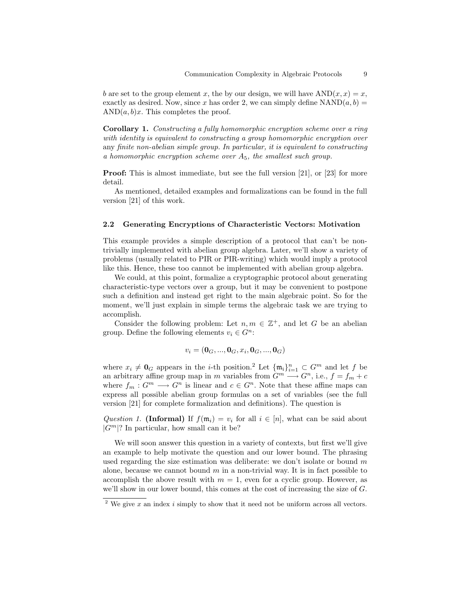b are set to the group element x, the by our design, we will have  $AND(x, x) = x$ , exactly as desired. Now, since x has order 2, we can simply define  $NAND(a, b)$  =  $AND(a, b)x$ . This completes the proof.

Corollary 1. Constructing a fully homomorphic encryption scheme over a ring with identity is equivalent to constructing a group homomorphic encryption over any finite non-abelian simple group. In particular, it is equivalent to constructing a homomorphic encryption scheme over  $A_5$ , the smallest such group.

**Proof:** This is almost immediate, but see the full version [21], or [23] for more detail.

As mentioned, detailed examples and formalizations can be found in the full version [21] of this work.

## 2.2 Generating Encryptions of Characteristic Vectors: Motivation

This example provides a simple description of a protocol that can't be nontrivially implemented with abelian group algebra. Later, we'll show a variety of problems (usually related to PIR or PIR-writing) which would imply a protocol like this. Hence, these too cannot be implemented with abelian group algebra.

We could, at this point, formalize a cryptographic protocol about generating characteristic-type vectors over a group, but it may be convenient to postpone such a definition and instead get right to the main algebraic point. So for the moment, we'll just explain in simple terms the algebraic task we are trying to accomplish.

Consider the following problem: Let  $n, m \in \mathbb{Z}^+$ , and let G be an abelian group. Define the following elements  $v_i \in G^n$ :

$$
v_i = (\mathbf{0}_{G}, ..., \mathbf{0}_{G}, x_i, \mathbf{0}_{G}, ..., \mathbf{0}_{G})
$$

where  $x_i \neq \mathbf{0}_G$  appears in the *i*-th position.<sup>2</sup> Let  $\{\mathfrak{m}_i\}_{i=1}^n \subset G^m$  and let f be an arbitrary affine group map in m variables from  $G^m \longrightarrow G^n$ , i.e.,  $f = f_m + c$ where  $f_m: G^m \longrightarrow G^n$  is linear and  $c \in G^n$ . Note that these affine maps can express all possible abelian group formulas on a set of variables (see the full version [21] for complete formalization and definitions). The question is

Question 1. (Informal) If  $f(\mathfrak{m}_i) = v_i$  for all  $i \in [n]$ , what can be said about  $|G^m|$ ? In particular, how small can it be?

We will soon answer this question in a variety of contexts, but first we'll give an example to help motivate the question and our lower bound. The phrasing used regarding the size estimation was deliberate: we don't isolate or bound  $m$ alone, because we cannot bound  $m$  in a non-trivial way. It is in fact possible to accomplish the above result with  $m = 1$ , even for a cyclic group. However, as we'll show in our lower bound, this comes at the cost of increasing the size of G.

 $2$  We give x an index i simply to show that it need not be uniform across all vectors.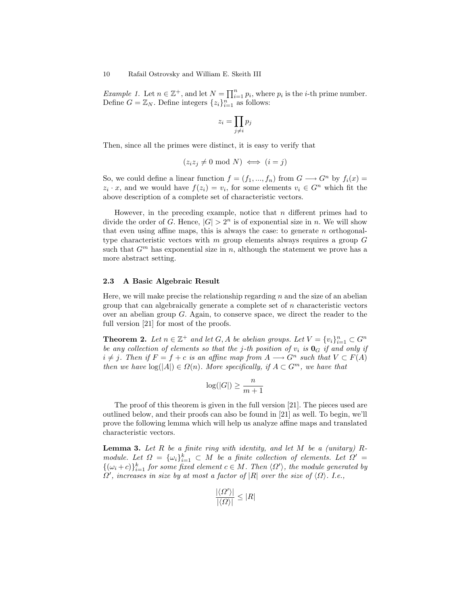*Example 1.* Let  $n \in \mathbb{Z}^+$ , and let  $N = \prod_{i=1}^n p_i$ , where  $p_i$  is the *i*-th prime number. Define  $G = \mathbb{Z}_N$ . Define integers  $\{z_i\}_{i=1}^n$  as follows:

$$
z_i = \prod_{j \neq i} p_j
$$

Then, since all the primes were distinct, it is easy to verify that

$$
(z_i z_j \neq 0 \text{ mod } N) \iff (i = j)
$$

So, we could define a linear function  $f = (f_1, ..., f_n)$  from  $G \longrightarrow G^n$  by  $f_i(x) =$  $z_i \cdot x$ , and we would have  $f(z_i) = v_i$ , for some elements  $v_i \in G^n$  which fit the above description of a complete set of characteristic vectors.

However, in the preceding example, notice that  $n$  different primes had to divide the order of G. Hence,  $|G| > 2<sup>n</sup>$  is of exponential size in n. We will show that even using affine maps, this is always the case: to generate  $n$  orthogonaltype characteristic vectors with  $m$  group elements always requires a group  $G$ such that  $G^m$  has exponential size in n, although the statement we prove has a more abstract setting.

## 2.3 A Basic Algebraic Result

Here, we will make precise the relationship regarding  $n$  and the size of an abelian group that can algebraically generate a complete set of  $n$  characteristic vectors over an abelian group  $G$ . Again, to conserve space, we direct the reader to the full version [21] for most of the proofs.

**Theorem 2.** Let  $n \in \mathbb{Z}^+$  and let  $G$ , A be abelian groups. Let  $V = \{v_i\}_{i=1}^n \subset G^n$ be any collection of elements so that the j-th position of  $v_i$  is  $\mathbf{0}_G$  if and only if  $i \neq j$ . Then if  $F = f + c$  is an affine map from  $A \longrightarrow G^n$  such that  $V \subset F(A)$ then we have  $log(|A|) \in \Omega(n)$ . More specifically, if  $A \subset G^m$ , we have that

$$
\log(|G|) \ge \frac{n}{m+1}
$$

The proof of this theorem is given in the full version [21]. The pieces used are outlined below, and their proofs can also be found in [21] as well. To begin, we'll prove the following lemma which will help us analyze affine maps and translated characteristic vectors.

**Lemma 3.** Let R be a finite ring with identity, and let M be a (unitary) Rmodule. Let  $\Omega = {\omega_i}_{i=1}^k \subset M$  be a finite collection of elements. Let  $\Omega' =$  $\{(\omega_i+c)\}_{i=1}^k$  for some fixed element  $c \in M$ . Then  $\langle \Omega' \rangle$ , the module generated by  $\Omega'$ , increases in size by at most a factor of  $|R|$  over the size of  $\langle \Omega \rangle$ . I.e.,

$$
\frac{\left|\langle \varOmega' \rangle \right|}{\left|\langle \varOmega \rangle \right|} \leq |R|
$$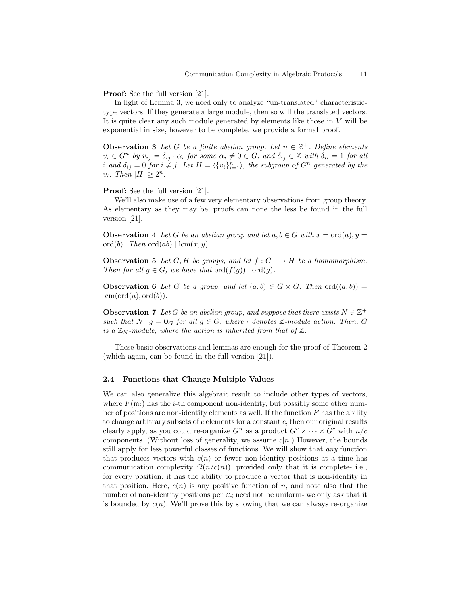**Proof:** See the full version [21].

In light of Lemma 3, we need only to analyze "un-translated" characteristictype vectors. If they generate a large module, then so will the translated vectors. It is quite clear any such module generated by elements like those in  $V$  will be exponential in size, however to be complete, we provide a formal proof.

**Observation 3** Let G be a finite abelian group. Let  $n \in \mathbb{Z}^+$ . Define elements  $v_i \in G^n$  by  $v_{ij} = \delta_{ij} \cdot \alpha_i$  for some  $\alpha_i \neq 0 \in G$ , and  $\delta_{ij} \in \mathbb{Z}$  with  $\delta_{ii} = 1$  for all i and  $\delta_{ij} = 0$  for  $i \neq j$ . Let  $H = \langle \{v_i\}_{i=1}^n \rangle$ , the subgroup of  $G^n$  generated by the  $v_i$ . Then  $|H| \geq 2^n$ .

#### Proof: See the full version [21].

We'll also make use of a few very elementary observations from group theory. As elementary as they may be, proofs can none the less be found in the full version [21].

**Observation 4** Let G be an abelian group and let  $a, b \in G$  with  $x = \text{ord}(a), y =$ ord $(b)$ . Then ord $(ab)$  | lcm $(x, y)$ .

**Observation 5** Let G, H be groups, and let  $f: G \longrightarrow H$  be a homomorphism. Then for all  $q \in G$ , we have that  $\text{ord}(f(q)) \mid \text{ord}(q)$ .

**Observation 6** Let G be a group, and let  $(a, b) \in G \times G$ . Then ord $((a, b)) =$  $lcm(ord(a), ord(b)).$ 

**Observation 7** Let G be an abelian group, and suppose that there exists  $N \in \mathbb{Z}^+$ such that  $N \cdot g = \mathbf{0}_G$  for all  $g \in G$ , where  $\cdot$  denotes  $\mathbb{Z}$ -module action. Then, G is a  $\mathbb{Z}_N$ -module, where the action is inherited from that of  $\mathbb{Z}$ .

These basic observations and lemmas are enough for the proof of Theorem 2 (which again, can be found in the full version [21]).

#### 2.4 Functions that Change Multiple Values

We can also generalize this algebraic result to include other types of vectors, where  $F(\mathfrak{m}_i)$  has the *i*-th component non-identity, but possibly some other number of positions are non-identity elements as well. If the function  $F$  has the ability to change arbitrary subsets of  $c$  elements for a constant  $c$ , then our original results clearly apply, as you could re-organize  $G^n$  as a product  $G^c \times \cdots \times G^c$  with  $n/c$ components. (Without loss of generality, we assume  $c|n$ .) However, the bounds still apply for less powerful classes of functions. We will show that any function that produces vectors with  $c(n)$  or fewer non-identity positions at a time has communication complexity  $\Omega(n/c(n))$ , provided only that it is complete- i.e., for every position, it has the ability to produce a vector that is non-identity in that position. Here,  $c(n)$  is any positive function of n, and note also that the number of non-identity positions per  $m_i$  need not be uniform- we only ask that it is bounded by  $c(n)$ . We'll prove this by showing that we can always re-organize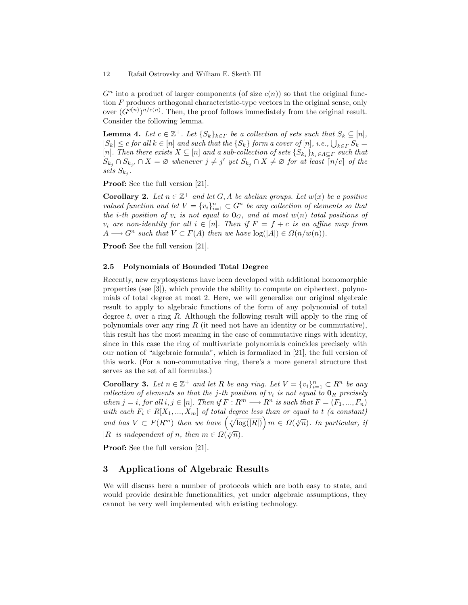$G<sup>n</sup>$  into a product of larger components (of size  $c(n)$ ) so that the original function F produces orthogonal characteristic-type vectors in the original sense, only over  $(G^{c(n)})^{n/c(n)}$ . Then, the proof follows immediately from the original result. Consider the following lemma.

**Lemma 4.** Let  $c \in \mathbb{Z}^+$ . Let  $\{S_k\}_{k \in \Gamma}$  be a collection of sets such that  $S_k \subseteq [n]$ ,  $|S_k| \leq c$  for all  $k \in [n]$  and such that the  $\{S_k\}$  form a cover of  $[n]$ , i.e.,  $\bigcup_{k \in \Gamma} S_k =$ [n]. Then there exists  $X \subseteq [n]$  and a sub-collection of sets  $\{S_{k_j}\}_{k_j \in \Lambda \subseteq \Gamma}$  such that  $S_{k_j} \cap S_{k_{j'}} \cap X = \varnothing$  whenever  $j \neq j'$  yet  $S_{k_j} \cap X \neq \varnothing$  for at least  $\lceil n/c \rceil$  of the sets  $S_{k_j}$ .

Proof: See the full version [21].

**Corollary 2.** Let  $n \in \mathbb{Z}^+$  and let G, A be abelian groups. Let  $w(x)$  be a positive valued function and let  $V = \{v_i\}_{i=1}^n \subset G^n$  be any collection of elements so that the *i*-th position of  $v_i$  is not equal to  $\mathbf{0}_G$ , and at most  $w(n)$  total positions of  $v_i$  are non-identity for all  $i \in [n]$ . Then if  $F = f + c$  is an affine map from  $A \longrightarrow G^n$  such that  $V \subset F(A)$  then we have  $log(|A|) \in \Omega(n/w(n)).$ 

Proof: See the full version [21].

# 2.5 Polynomials of Bounded Total Degree

Recently, new cryptosystems have been developed with additional homomorphic properties (see [3]), which provide the ability to compute on ciphertext, polynomials of total degree at most 2. Here, we will generalize our original algebraic result to apply to algebraic functions of the form of any polynomial of total degree t, over a ring R. Although the following result will apply to the ring of polynomials over any ring  $R$  (it need not have an identity or be commutative), this result has the most meaning in the case of commutative rings with identity, since in this case the ring of multivariate polynomials coincides precisely with our notion of "algebraic formula", which is formalized in [21], the full version of this work. (For a non-commutative ring, there's a more general structure that serves as the set of all formulas.)

**Corollary 3.** Let  $n \in \mathbb{Z}^+$  and let R be any ring. Let  $V = \{v_i\}_{i=1}^n \subset R^n$  be any collection of elements so that the j-th position of  $v_i$  is not equal to  $\mathbf{0}_R$  precisely when  $j = i$ , for all  $i, j \in [n]$ . Then if  $F : R^m \longrightarrow R^n$  is such that  $F = (F_1, ..., F_n)$ with each  $F_i \in R[X_1, ..., X_m]$  of total degree less than or equal to t (a constant) and has  $V \subset F(R^m)$  then we have  $\left(\sqrt[t]{\log(|R|)}\right) m \in \Omega(\sqrt[t]{n})$ . In particular, if |R| is independent of n, then  $m \in \Omega(\sqrt[t]{n})$ .

Proof: See the full version [21].

# 3 Applications of Algebraic Results

We will discuss here a number of protocols which are both easy to state, and would provide desirable functionalities, yet under algebraic assumptions, they cannot be very well implemented with existing technology.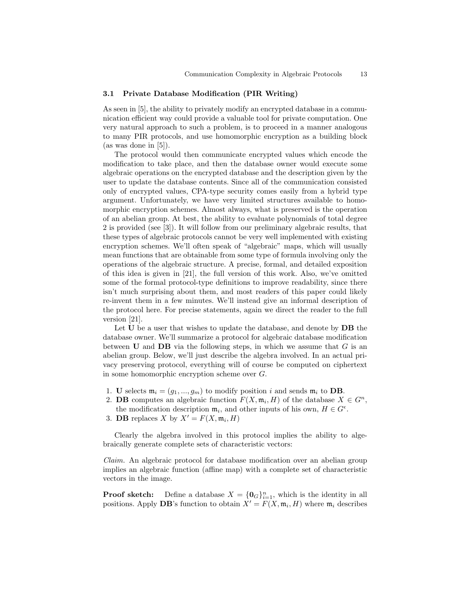## 3.1 Private Database Modification (PIR Writing)

As seen in [5], the ability to privately modify an encrypted database in a communication efficient way could provide a valuable tool for private computation. One very natural approach to such a problem, is to proceed in a manner analogous to many PIR protocols, and use homomorphic encryption as a building block (as was done in [5]).

The protocol would then communicate encrypted values which encode the modification to take place, and then the database owner would execute some algebraic operations on the encrypted database and the description given by the user to update the database contents. Since all of the communication consisted only of encrypted values, CPA-type security comes easily from a hybrid type argument. Unfortunately, we have very limited structures available to homomorphic encryption schemes. Almost always, what is preserved is the operation of an abelian group. At best, the ability to evaluate polynomials of total degree 2 is provided (see [3]). It will follow from our preliminary algebraic results, that these types of algebraic protocols cannot be very well implemented with existing encryption schemes. We'll often speak of "algebraic" maps, which will usually mean functions that are obtainable from some type of formula involving only the operations of the algebraic structure. A precise, formal, and detailed exposition of this idea is given in [21], the full version of this work. Also, we've omitted some of the formal protocol-type definitions to improve readability, since there isn't much surprising about them, and most readers of this paper could likely re-invent them in a few minutes. We'll instead give an informal description of the protocol here. For precise statements, again we direct the reader to the full version [21].

Let **U** be a user that wishes to update the database, and denote by **DB** the database owner. We'll summarize a protocol for algebraic database modification between U and DB via the following steps, in which we assume that  $G$  is an abelian group. Below, we'll just describe the algebra involved. In an actual privacy preserving protocol, everything will of course be computed on ciphertext in some homomorphic encryption scheme over G.

- 1. U selects  $\mathfrak{m}_i = (g_1, ..., g_m)$  to modify position i and sends  $\mathfrak{m}_i$  to DB.
- 2. **DB** computes an algebraic function  $F(X, \mathfrak{m}_i, H)$  of the database  $X \in G^n$ , the modification description  $\mathfrak{m}_i$ , and other inputs of his own,  $H \in G^{\epsilon}$ .
- 3. **DB** replaces X by  $X' = F(X, \mathfrak{m}_i, H)$

Clearly the algebra involved in this protocol implies the ability to algebraically generate complete sets of characteristic vectors:

Claim. An algebraic protocol for database modification over an abelian group implies an algebraic function (affine map) with a complete set of characteristic vectors in the image.

**Proof sketch:** Define a database  $X = \{0_G\}_{i=1}^n$ , which is the identity in all positions. Apply **DB**'s function to obtain  $X' = F(X, \mathfrak{m}_i, H)$  where  $\mathfrak{m}_i$  describes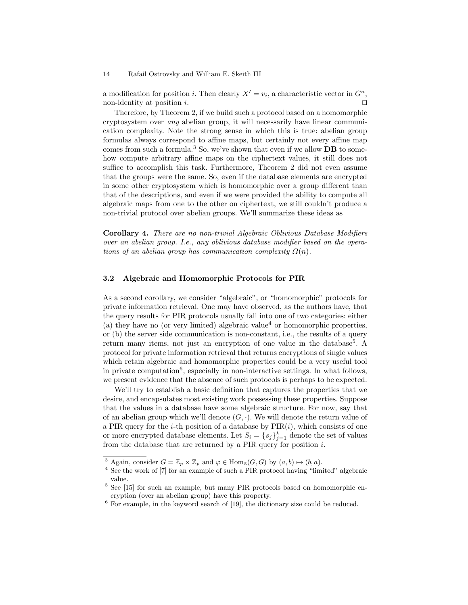a modification for position *i*. Then clearly  $X' = v_i$ , a characteristic vector in  $G^n$ , non-identity at position  $i$ .

Therefore, by Theorem 2, if we build such a protocol based on a homomorphic cryptosystem over any abelian group, it will necessarily have linear communication complexity. Note the strong sense in which this is true: abelian group formulas always correspond to affine maps, but certainly not every affine map comes from such a formula.<sup>3</sup> So, we've shown that even if we allow  $DB$  to somehow compute arbitrary affine maps on the ciphertext values, it still does not suffice to accomplish this task. Furthermore, Theorem 2 did not even assume that the groups were the same. So, even if the database elements are encrypted in some other cryptosystem which is homomorphic over a group different than that of the descriptions, and even if we were provided the ability to compute all algebraic maps from one to the other on ciphertext, we still couldn't produce a non-trivial protocol over abelian groups. We'll summarize these ideas as

Corollary 4. There are no non-trivial Algebraic Oblivious Database Modifiers over an abelian group. I.e., any oblivious database modifier based on the operations of an abelian group has communication complexity  $\Omega(n)$ .

# 3.2 Algebraic and Homomorphic Protocols for PIR

As a second corollary, we consider "algebraic", or "homomorphic" protocols for private information retrieval. One may have observed, as the authors have, that the query results for PIR protocols usually fall into one of two categories: either (a) they have no (or very limited) algebraic value<sup>4</sup> or homomorphic properties, or (b) the server side communication is non-constant, i.e., the results of a query return many items, not just an encryption of one value in the database<sup>5</sup>. A protocol for private information retrieval that returns encryptions of single values which retain algebraic and homomorphic properties could be a very useful tool in private computation<sup>6</sup>, especially in non-interactive settings. In what follows, we present evidence that the absence of such protocols is perhaps to be expected.

We'll try to establish a basic definition that captures the properties that we desire, and encapsulates most existing work possessing these properties. Suppose that the values in a database have some algebraic structure. For now, say that of an abelian group which we'll denote  $(G, \cdot)$ . We will denote the return value of a PIR query for the *i*-th position of a database by  $PIR(i)$ , which consists of one or more encrypted database elements. Let  $S_i = \{s_j\}_{j=1}^k$  denote the set of values from the database that are returned by a PIR query for position  $i$ .

<sup>&</sup>lt;sup>3</sup> Again, consider  $G = \mathbb{Z}_p \times \mathbb{Z}_p$  and  $\varphi \in \text{Hom}_{\mathbb{Z}}(G, G)$  by  $(a, b) \mapsto (b, a)$ .

<sup>4</sup> See the work of [7] for an example of such a PIR protocol having "limited" algebraic value.

<sup>5</sup> See [15] for such an example, but many PIR protocols based on homomorphic encryption (over an abelian group) have this property.

<sup>6</sup> For example, in the keyword search of [19], the dictionary size could be reduced.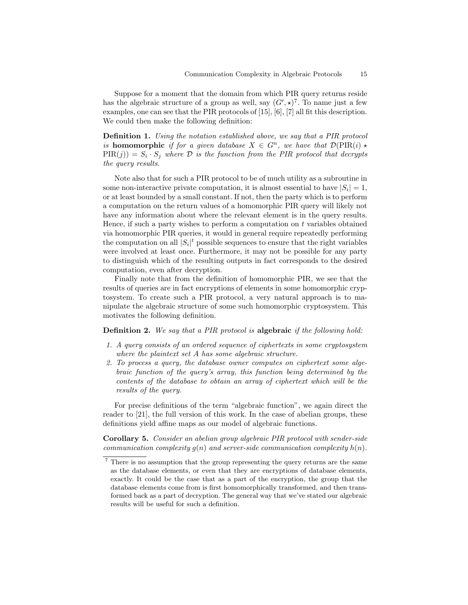Suppose for a moment that the domain from which PIR query returns reside has the algebraic structure of a group as well, say  $(G',\star)^7$ . To name just a few examples, one can see that the PIR protocols of [15], [6], [7] all fit this description. We could then make the following definition:

Definition 1. Using the notation established above, we say that a PIR protocol is homomorphic if for a given database  $X \in G^n$ , we have that  $\mathcal{D}(\text{PIR}(i) \star$  $\text{PIR}(j) = S_i \cdot S_j$  where  $\mathcal D$  is the function from the PIR protocol that decrypts the query results.

Note also that for such a PIR protocol to be of much utility as a subroutine in some non-interactive private computation, it is almost essential to have  $|S_i| = 1$ , or at least bounded by a small constant. If not, then the party which is to perform a computation on the return values of a homomorphic PIR query will likely not have any information about where the relevant element is in the query results. Hence, if such a party wishes to perform a computation on  $t$  variables obtained via homomorphic PIR queries, it would in general require repeatedly performing the computation on all  $|S_i|^t$  possible sequences to ensure that the right variables were involved at least once. Furthermore, it may not be possible for any party to distinguish which of the resulting outputs in fact corresponds to the desired computation, even after decryption.

Finally note that from the definition of homomorphic PIR, we see that the results of queries are in fact encryptions of elements in some homomorphic cryptosystem. To create such a PIR protocol, a very natural approach is to manipulate the algebraic structure of some such homomorphic cryptosystem. This motivates the following definition.

Definition 2. We say that a PIR protocol is algebraic if the following hold:

- 1. A query consists of an ordered sequence of ciphertexts in some cryptosystem where the plaintext set A has some algebraic structure.
- 2. To process a query, the database owner computes on ciphertext some algebraic function of the query's array, this function being determined by the contents of the database to obtain an array of ciphertext which will be the results of the query.

For precise definitions of the term "algebraic function", we again direct the reader to [21], the full version of this work. In the case of abelian groups, these definitions yield affine maps as our model of algebraic functions.

Corollary 5. Consider an abelian group algebraic PIR protocol with sender-side communication complexity  $q(n)$  and server-side communication complexity  $h(n)$ .

<sup>7</sup> There is no assumption that the group representing the query returns are the same as the database elements, or even that they are encryptions of database elements, exactly. It could be the case that as a part of the encryption, the group that the database elements come from is first homomorphically transformed, and then transformed back as a part of decryption. The general way that we've stated our algebraic results will be useful for such a definition.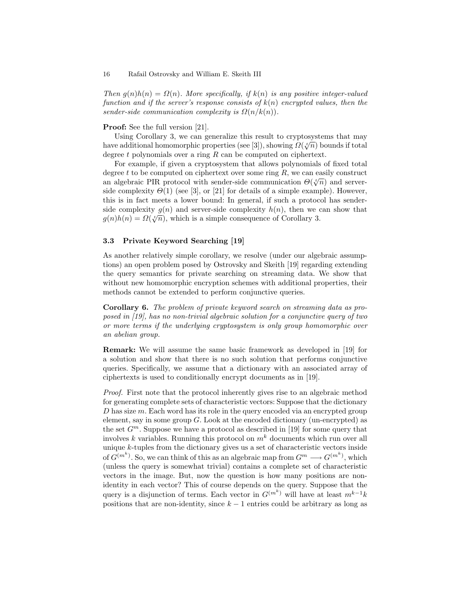Then  $g(n)h(n) = \Omega(n)$ . More specifically, if  $k(n)$  is any positive integer-valued function and if the server's response consists of  $k(n)$  encrypted values, then the sender-side communication complexity is  $\Omega(n/k(n))$ .

# Proof: See the full version [21].

Using Corollary 3, we can generalize this result to cryptosystems that may bound to cryptosystems that may<br>have additional homomorphic properties (see [3]), showing  $\Omega(\sqrt[t]{n})$  bounds if total degree  $t$  polynomials over a ring  $R$  can be computed on ciphertext.

For example, if given a cryptosystem that allows polynomials of fixed total degree  $t$  to be computed on ciphertext over some ring  $R$ , we can easily construct degree t to be computed on cipnertext over some ring  $\Lambda$ , we can easily construct<br>an algebraic PIR protocol with sender-side communication  $\Theta(\sqrt[t]{n})$  and serverside complexity  $\Theta(1)$  (see [3], or [21] for details of a simple example). However, this is in fact meets a lower bound: In general, if such a protocol has senderside complexity  $q(n)$  and server-side complexity  $h(n)$ , then we can show that side complexity  $g(n)$  and server-side complexity  $h(n)$ , then we do  $g(n)h(n) = \Omega(\sqrt[n]{n})$ , which is a simple consequence of Corollary 3.

# 3.3 Private Keyword Searching [19]

As another relatively simple corollary, we resolve (under our algebraic assumptions) an open problem posed by Ostrovsky and Skeith [19] regarding extending the query semantics for private searching on streaming data. We show that without new homomorphic encryption schemes with additional properties, their methods cannot be extended to perform conjunctive queries.

Corollary 6. The problem of private keyword search on streaming data as proposed in [19], has no non-trivial algebraic solution for a conjunctive query of two or more terms if the underlying cryptosystem is only group homomorphic over an abelian group.

Remark: We will assume the same basic framework as developed in [19] for a solution and show that there is no such solution that performs conjunctive queries. Specifically, we assume that a dictionary with an associated array of ciphertexts is used to conditionally encrypt documents as in [19].

Proof. First note that the protocol inherently gives rise to an algebraic method for generating complete sets of characteristic vectors: Suppose that the dictionary  $D$  has size  $m$ . Each word has its role in the query encoded via an encrypted group element, say in some group  $G$ . Look at the encoded dictionary (un-encrypted) as the set  $G^m$ . Suppose we have a protocol as described in [19] for some query that involves k variables. Running this protocol on  $m<sup>k</sup>$  documents which run over all unique  $k$ -tuples from the dictionary gives us a set of characteristic vectors inside of  $G^{(m^k)}$ . So, we can think of this as an algebraic map from  $G^m \longrightarrow G^{(m^k)}$ , which (unless the query is somewhat trivial) contains a complete set of characteristic vectors in the image. But, now the question is how many positions are nonidentity in each vector? This of course depends on the query. Suppose that the query is a disjunction of terms. Each vector in  $G^{(m^k)}$  will have at least  $m^{k-1}k$ positions that are non-identity, since  $k - 1$  entries could be arbitrary as long as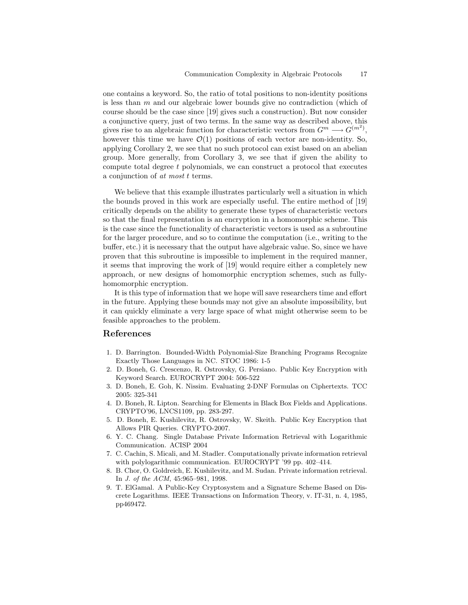one contains a keyword. So, the ratio of total positions to non-identity positions is less than  $m$  and our algebraic lower bounds give no contradiction (which of course should be the case since [19] gives such a construction). But now consider a conjunctive query, just of two terms. In the same way as described above, this gives rise to an algebraic function for characteristic vectors from  $G^m \longrightarrow G^{(m^2)}$ , however this time we have  $\mathcal{O}(1)$  positions of each vector are non-identity. So, applying Corollary 2, we see that no such protocol can exist based on an abelian group. More generally, from Corollary 3, we see that if given the ability to compute total degree t polynomials, we can construct a protocol that executes a conjunction of at most t terms.

We believe that this example illustrates particularly well a situation in which the bounds proved in this work are especially useful. The entire method of [19] critically depends on the ability to generate these types of characteristic vectors so that the final representation is an encryption in a homomorphic scheme. This is the case since the functionality of characteristic vectors is used as a subroutine for the larger procedure, and so to continue the computation (i.e., writing to the buffer, etc.) it is necessary that the output have algebraic value. So, since we have proven that this subroutine is impossible to implement in the required manner, it seems that improving the work of [19] would require either a completely new approach, or new designs of homomorphic encryption schemes, such as fullyhomomorphic encryption.

It is this type of information that we hope will save researchers time and effort in the future. Applying these bounds may not give an absolute impossibility, but it can quickly eliminate a very large space of what might otherwise seem to be feasible approaches to the problem.

# References

- 1. D. Barrington. Bounded-Width Polynomial-Size Branching Programs Recognize Exactly Those Languages in NC. STOC 1986: 1-5
- 2. D. Boneh, G. Crescenzo, R. Ostrovsky, G. Persiano. Public Key Encryption with Keyword Search. EUROCRYPT 2004: 506-522
- 3. D. Boneh, E. Goh, K. Nissim. Evaluating 2-DNF Formulas on Ciphertexts. TCC 2005: 325-341
- 4. D. Boneh, R. Lipton. Searching for Elements in Black Box Fields and Applications. CRYPTO'96, LNCS1109, pp. 283-297.
- 5. D. Boneh, E. Kushilevitz, R. Ostrovsky, W. Skeith. Public Key Encryption that Allows PIR Queries. CRYPTO-2007.
- 6. Y. C. Chang. Single Database Private Information Retrieval with Logarithmic Communication. ACISP 2004
- 7. C. Cachin, S. Micali, and M. Stadler. Computationally private information retrieval with polylogarithmic communication. EUROCRYPT '99 pp. 402–414.
- 8. B. Chor, O. Goldreich, E. Kushilevitz, and M. Sudan. Private information retrieval. In J. of the ACM, 45:965–981, 1998.
- 9. T. ElGamal. A Public-Key Cryptosystem and a Signature Scheme Based on Discrete Logarithms. IEEE Transactions on Information Theory, v. IT-31, n. 4, 1985, pp469472.